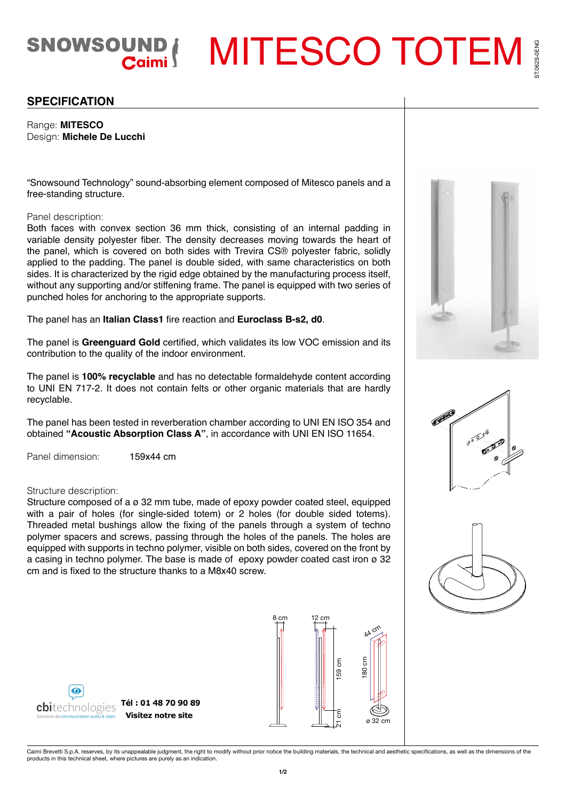SNOWSOUND | MITESCO TOTEM

# **SPECIFICATION**

Range: **MITESCO** Design: **Michele De Lucchi**

"Snowsound Technology" sound-absorbing element composed of Mitesco panels and a free-standing structure.

### Panel description:

Both faces with convex section 36 mm thick, consisting of an internal padding in variable density polyester fiber. The density decreases moving towards the heart of the panel, which is covered on both sides with Trevira CS® polyester fabric, solidly applied to the padding. The panel is double sided, with same characteristics on both sides. It is characterized by the rigid edge obtained by the manufacturing process itself, without any supporting and/or stiffening frame. The panel is equipped with two series of punched holes for anchoring to the appropriate supports.

The panel has an **Italian Class1** fire reaction and **Euroclass B-s2, d0**.

The panel is **Greenguard Gold** certified, which validates its low VOC emission and its contribution to the quality of the indoor environment.

The panel is **100% recyclable** and has no detectable formaldehyde content according to UNI EN 717-2. It does not contain felts or other organic materials that are hardly recyclable.

The panel has been tested in reverberation chamber according to UNI EN ISO 354 and obtained **"Acoustic Absorption Class A"**, in accordance with UNI EN ISO 11654.

Panel dimension: 159x44 cm

### Structure description:

Structure composed of a ø 32 mm tube, made of epoxy powder coated steel, equipped with a pair of holes (for single-sided totem) or 2 holes (for double sided totems). Threaded metal bushings allow the fixing of the panels through a system of techno polymer spacers and screws, passing through the holes of the panels. The holes are equipped with supports in techno polymer, visible on both sides, covered on the front by a casing in techno polymer. The base is made of epoxy powder coated cast iron  $\varnothing$  32 cm and is fixed to the structure thanks to a M8x40 screw.









[Caimi Brevetti S.p.A. reserves, by its unappealable judgment, the right to modify without prior](www.cbi-technologies.com) notice the building materials, the technical and aesthetic specifications, as well as the dimensions of the<br>products in this t